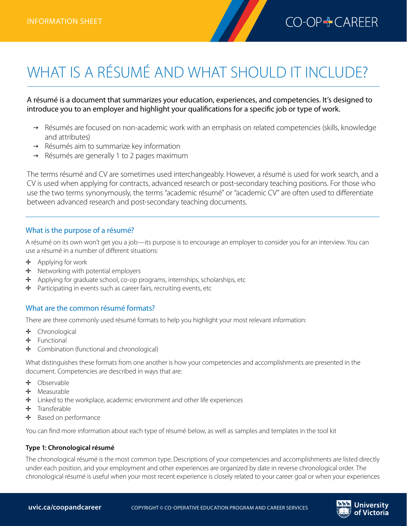# WHAT IS A RÉSUMÉ AND WHAT SHOULD IT INCLUDE?

A résumé is a document that summarizes your education, experiences, and competencies. It's designed to introduce you to an employer and highlight your qualifications for a specific job or type of work.

- $\rightarrow$  Résumés are focused on non-academic work with an emphasis on related competencies (skills, knowledge and attributes)
- $\rightarrow$  Résumés aim to summarize key information
- $\rightarrow$  Résumés are generally 1 to 2 pages maximum

The terms résumé and CV are sometimes used interchangeably. However, a résumé is used for work search, and a CV is used when applying for contracts, advanced research or post-secondary teaching positions. For those who use the two terms synonymously, the terms "academic résumé" or "academic CV" are often used to differentiate between advanced research and post-secondary teaching documents.

## What is the purpose of a résumé?

A résumé on its own won't get you a job—its purpose is to encourage an employer to consider you for an interview. You can use a résumé in a number of different situations:

- $\div$  Applying for work
- $\div$  Networking with potential employers
- $\div$  Applying for graduate school, co-op programs, internships, scholarships, etc
- ✛ Participating in events such as career fairs, recruiting events, etc

## What are the common résumé formats?

There are three commonly used résumé formats to help you highlight your most relevant information:

- ✛ Chronological
- ✛ Functional
- ✛ Combination (functional and chronological)

What distinguishes these formats from one another is how your competencies and accomplishments are presented in the document. Competencies are described in ways that are:

- ✛ Observable
- ✛ Measurable
- $\div$  Linked to the workplace, academic environment and other life experiences
- ✛ Transferable
- $\div$  Based on performance

You can find more information about each type of résumé below, as well as samples and templates in the tool kit

#### **Type 1: Chronological résumé**

The chronological résumé is the most common type. Descriptions of your competencies and accomplishments are listed directly under each position, and your employment and other experiences are organized by date in reverse chronological order. The chronological résumé is useful when your most recent experience is closely related to your career goal or when your experiences

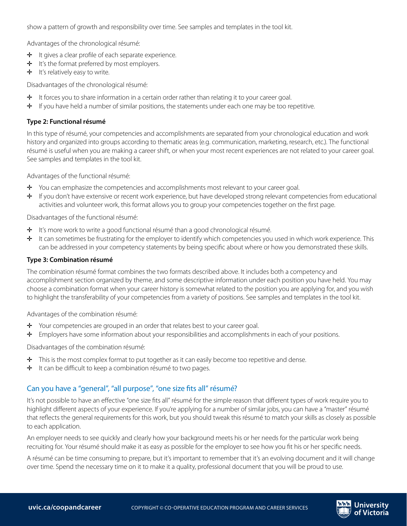show a pattern of growth and responsibility over time. See samples and templates in the tool kit.

Advantages of the chronological résumé:

- ✛ It gives a clear profile of each separate experience.
- $\div$  It's the format preferred by most employers.
- $\div$  It's relatively easy to write.

Disadvantages of the chronological résumé:

- $\div$  It forces you to share information in a certain order rather than relating it to your career goal.
- ✛ If you have held a number of similar positions, the statements under each one may be too repetitive.

#### **Type 2: Functional résumé**

In this type of résumé, your competencies and accomplishments are separated from your chronological education and work history and organized into groups according to thematic areas (e.g. communication, marketing, research, etc.). The functional résumé is useful when you are making a career shift, or when your most recent experiences are not related to your career goal. See samples and templates in the tool kit.

Advantages of the functional résumé:

- $\div$  You can emphasize the competencies and accomplishments most relevant to your career goal.
- ✛ If you don't have extensive or recent work experience, but have developed strong relevant competencies from educational activities and volunteer work, this format allows you to group your competencies together on the first page.

Disadvantages of the functional résumé:

- ✛ It's more work to write a good functional résumé than a good chronological résumé.
- $\div$  It can sometimes be frustrating for the employer to identify which competencies you used in which work experience. This can be addressed in your competency statements by being specific about where or how you demonstrated these skills.

#### **Type 3: Combination résumé**

The combination résumé format combines the two formats described above. It includes both a competency and accomplishment section organized by theme, and some descriptive information under each position you have held. You may choose a combination format when your career history is somewhat related to the position you are applying for, and you wish to highlight the transferability of your competencies from a variety of positions. See samples and templates in the tool kit.

Advantages of the combination résumé:

- ✛ Your competencies are grouped in an order that relates best to your career goal.
- ✛ Employers have some information about your responsibilities and accomplishments in each of your positions.

Disadvantages of the combination résumé:

- ✛ This is the most complex format to put together as it can easily become too repetitive and dense.
- ✛ It can be difficult to keep a combination résumé to two pages.

# Can you have a "general", "all purpose", "one size fits all" résumé?

It's not possible to have an effective "one size fits all" résumé for the simple reason that different types of work require you to highlight different aspects of your experience. If you're applying for a number of similar jobs, you can have a "master" résumé that reflects the general requirements for this work, but you should tweak this résumé to match your skills as closely as possible to each application.

An employer needs to see quickly and clearly how your background meets his or her needs for the particular work being recruiting for. Your résumé should make it as easy as possible for the employer to see how you fit his or her specific needs.

A résumé can be time consuming to prepare, but it's important to remember that it's an evolving document and it will change over time. Spend the necessary time on it to make it a quality, professional document that you will be proud to use.

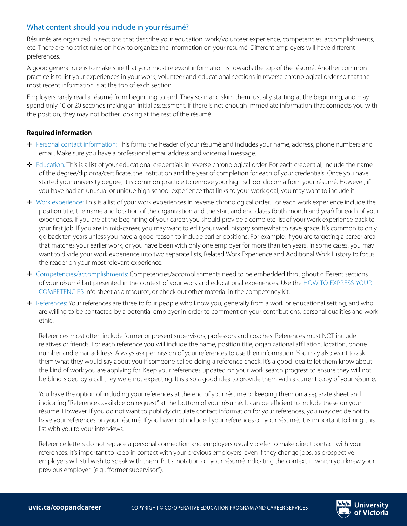# What content should you include in your résumé?

Résumés are organized in sections that describe your education, work/volunteer experience, competencies, accomplishments, etc. There are no strict rules on how to organize the information on your résumé. Different employers will have different preferences.

A good general rule is to make sure that your most relevant information is towards the top of the résumé. Another common practice is to list your experiences in your work, volunteer and educational sections in reverse chronological order so that the most recent information is at the top of each section.

Employers rarely read a résumé from beginning to end. They scan and skim them, usually starting at the beginning, and may spend only 10 or 20 seconds making an initial assessment. If there is not enough immediate information that connects you with the position, they may not bother looking at the rest of the résumé.

## **Required information**

- ✛ Personal contact information: This forms the header of your résumé and includes your name, address, phone numbers and email. Make sure you have a professional email address and voicemail message.
- ✛ Education: This is a list of your educational credentials in reverse chronological order. For each credential, include the name of the degree/diploma/certificate, the institution and the year of completion for each of your credentials. Once you have started your university degree, it is common practice to remove your high school diploma from your résumé. However, if you have had an unusual or unique high school experience that links to your work goal, you may want to include it.
- ✛ Work experience: This is a list of your work experiences in reverse chronological order. For each work experience include the position title, the name and location of the organization and the start and end dates (both month and year) for each of your experiences. If you are at the beginning of your career, you should provide a complete list of your work experience back to your first job. If you are in mid-career, you may want to edit your work history somewhat to save space. It's common to only go back ten years unless you have a good reason to include earlier positions. For example, if you are targeting a career area that matches your earlier work, or you have been with only one employer for more than ten years. In some cases, you may want to divide your work experience into two separate lists, Related Work Experience and Additional Work History to focus the reader on your most relevant experience.
- ✛ Competencies/accomplishments: Competencies/accomplishments need to be embedded throughout different sections of your résumé but presented in the context of your work and educational experiences. Use the HOW TO EXPRESS YOUR COMPETENCIES info sheet as a resource, or check out other material in the competency kit.
- ✛ References: Your references are three to four people who know you, generally from a work or educational setting, and who are willing to be contacted by a potential employer in order to comment on your contributions, personal qualities and work ethic.

References most often include former or present supervisors, professors and coaches. References must NOT include relatives or friends. For each reference you will include the name, position title, organizational affiliation, location, phone number and email address. Always ask permission of your references to use their information. You may also want to ask them what they would say about you if someone called doing a reference check. It's a good idea to let them know about the kind of work you are applying for. Keep your references updated on your work search progress to ensure they will not be blind-sided by a call they were not expecting. It is also a good idea to provide them with a current copy of your résumé.

You have the option of including your references at the end of your résumé or keeping them on a separate sheet and indicating "References available on request" at the bottom of your résumé. It can be efficient to include these on your résumé. However, if you do not want to publicly circulate contact information for your references, you may decide not to have your references on your résumé. If you have not included your references on your résumé, it is important to bring this list with you to your interviews.

Reference letters do not replace a personal connection and employers usually prefer to make direct contact with your references. It's important to keep in contact with your previous employers, even if they change jobs, as prospective employers will still wish to speak with them. Put a notation on your résumé indicating the context in which you knew your previous employer (e.g., "former supervisor").

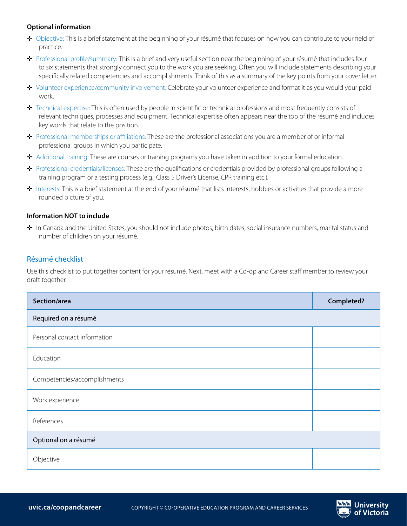### **Optional information**

- $\pm$  Objective: This is a brief statement at the beginning of your résumé that focuses on how you can contribute to your field of practice.
- ✛ Professional profile/summary: This is a brief and very useful section near the beginning of your résumé that includes four to six statements that strongly connect you to the work you are seeking. Often you will include statements describing your specifically related competencies and accomplishments. Think of this as a summary of the key points from your cover letter.
- ✛ Volunteer experience/community involvement: Celebrate your volunteer experience and format it as you would your paid work.
- ✛ Technical expertise: This is often used by people in scientific or technical professions and most frequently consists of relevant techniques, processes and equipment. Technical expertise often appears near the top of the résumé and includes key words that relate to the position.
- ✛ Professional memberships or affiliations: These are the professional associations you are a member of or informal professional groups in which you participate.
- ✛ Additional training: These are courses or training programs you have taken in addition to your formal education.
- ✛ Professional credentials/licenses: These are the qualifications or credentials provided by professional groups following a training program or a testing process (e.g., Class 5 Driver's License, CPR training etc.).
- ✛ Interests: This is a brief statement at the end of your résumé that lists interests, hobbies or activities that provide a more rounded picture of you.

## **Information NOT to include**

✛ In Canada and the United States, you should not include photos, birth dates, social insurance numbers, marital status and number of children on your résumé.

# Résumé checklist

Use this checklist to put together content for your résumé. Next, meet with a Co-op and Career staff member to review your draft together.

| Section/area                 | <b>Completed?</b> |
|------------------------------|-------------------|
| Required on a résumé         |                   |
| Personal contact information |                   |
| Education                    |                   |
| Competencies/accomplishments |                   |
| Work experience              |                   |
| References                   |                   |
| Optional on a résumé         |                   |
| Objective                    |                   |